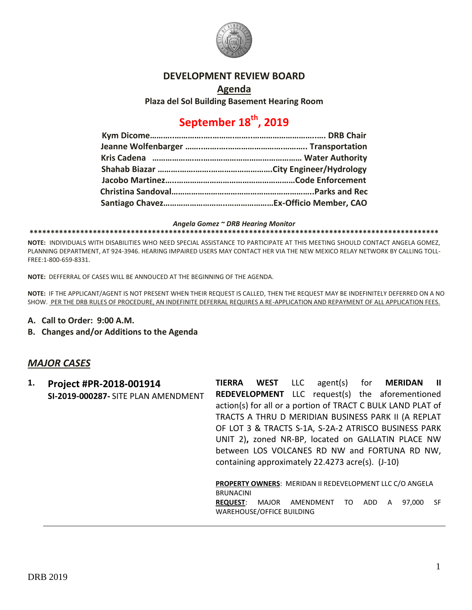

### **DEVELOPMENT REVIEW BOARD**

**Agenda**

**Plaza del Sol Building Basement Hearing Room**

# **September 18th, 2019**

*Angela Gomez ~ DRB Hearing Monitor*

**\*\*\*\*\*\*\*\*\*\*\*\*\*\*\*\*\*\*\*\*\*\*\*\*\*\*\*\*\*\*\*\*\*\*\*\*\*\*\*\*\*\*\*\*\*\*\*\*\*\*\*\*\*\*\*\*\*\*\*\*\*\*\*\*\*\*\*\*\*\*\*\*\*\*\*\*\*\*\*\*\*\*\*\*\*\*\*\*\*\*\*\*\*\*\*\*\***

**NOTE:** INDIVIDUALS WITH DISABILITIES WHO NEED SPECIAL ASSISTANCE TO PARTICIPATE AT THIS MEETING SHOULD CONTACT ANGELA GOMEZ, PLANNING DEPARTMENT, AT 924-3946. HEARING IMPAIRED USERS MAY CONTACT HER VIA THE NEW MEXICO RELAY NETWORK BY CALLING TOLL-FREE:1-800-659-8331.

**NOTE:** DEFFERRAL OF CASES WILL BE ANNOUCED AT THE BEGINNING OF THE AGENDA.

**NOTE:** IF THE APPLICANT/AGENT IS NOT PRESENT WHEN THEIR REQUEST IS CALLED, THEN THE REQUEST MAY BE INDEFINITELY DEFERRED ON A NO SHOW. PER THE DRB RULES OF PROCEDURE, AN INDEFINITE DEFERRAL REQUIRES A RE-APPLICATION AND REPAYMENT OF ALL APPLICATION FEES.

- **A. Call to Order: 9:00 A.M.**
- **B. Changes and/or Additions to the Agenda**

### *MAJOR CASES*

| 1. | Project #PR-2018-001914             | <b>TIERRA</b>    | WEST LLC                  | agent(s)                                         |     | for <b>MERIDAN</b>                                              | - 11 |
|----|-------------------------------------|------------------|---------------------------|--------------------------------------------------|-----|-----------------------------------------------------------------|------|
|    | SI-2019-000287- SITE PLAN AMENDMENT |                  |                           |                                                  |     | <b>REDEVELOPMENT</b> LLC request(s) the aforementioned          |      |
|    |                                     |                  |                           |                                                  |     | action(s) for all or a portion of TRACT C BULK LAND PLAT of     |      |
|    |                                     |                  |                           |                                                  |     | TRACTS A THRU D MERIDIAN BUSINESS PARK II (A REPLAT             |      |
|    |                                     |                  |                           |                                                  |     | OF LOT 3 & TRACTS S-1A, S-2A-2 ATRISCO BUSINESS PARK            |      |
|    |                                     |                  |                           |                                                  |     | UNIT 2), zoned NR-BP, located on GALLATIN PLACE NW              |      |
|    |                                     |                  |                           |                                                  |     | between LOS VOLCANES RD NW and FORTUNA RD NW,                   |      |
|    |                                     |                  |                           | containing approximately 22.4273 acre(s). (J-10) |     |                                                                 |      |
|    |                                     |                  |                           |                                                  |     |                                                                 |      |
|    |                                     |                  |                           |                                                  |     | <b>PROPERTY OWNERS: MERIDAN II REDEVELOPMENT LLC C/O ANGELA</b> |      |
|    |                                     | <b>BRUNACINI</b> |                           |                                                  |     |                                                                 |      |
|    |                                     | <b>REQUEST:</b>  | MAJOR                     | AMENDMENT<br>TO                                  | ADD | 97.000<br>A                                                     | -SF  |
|    |                                     |                  | WAREHOUSE/OFFICE BUILDING |                                                  |     |                                                                 |      |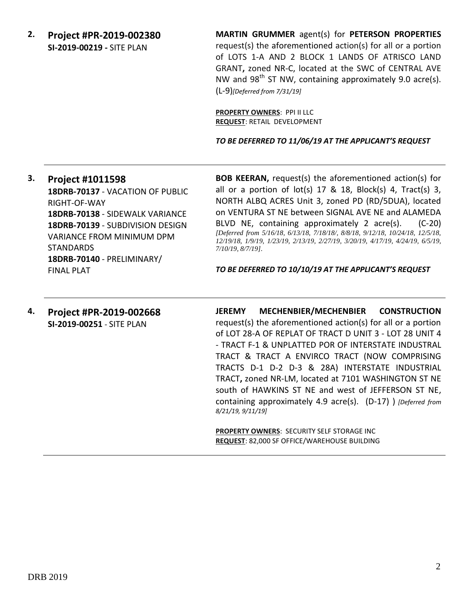**2. Project #PR-2019-002380 SI-2019-00219 -** SITE PLAN

**MARTIN GRUMMER** agent(s) for **PETERSON PROPERTIES** request(s) the aforementioned action(s) for all or a portion of LOTS 1-A AND 2 BLOCK 1 LANDS OF ATRISCO LAND GRANT**,** zoned NR-C, located at the SWC of CENTRAL AVE NW and 98<sup>th</sup> ST NW, containing approximately 9.0 acre(s). (L-9)*[Deferred from 7/31/19]*

**PROPERTY OWNERS**: PPI II LLC **REQUEST**: RETAIL DEVELOPMENT

*TO BE DEFERRED TO 11/06/19 AT THE APPLICANT'S REQUEST*

## **3. Project #1011598 18DRB-70137** - VACATION OF PUBLIC RIGHT-OF-WAY **18DRB-70138** - SIDEWALK VARIANCE **18DRB-70139** - SUBDIVISION DESIGN VARIANCE FROM MINIMUM DPM STANDARDS **18DRB-70140** - PRELIMINARY/ FINAL PLAT

**BOB KEERAN,** request(s) the aforementioned action(s) for all or a portion of lot(s) 17 & 18, Block(s) 4, Tract(s) 3, NORTH ALBQ ACRES Unit 3, zoned PD (RD/5DUA), located on VENTURA ST NE between SIGNAL AVE NE and ALAMEDA BLVD NE, containing approximately 2 acre(s). (C-20) *[Deferred from 5/16/18, 6/13/18, 7/18/18/, 8/8/18, 9/12/18, 10/24/18, 12/5/18, 12/19/18, 1/9/19, 1/23/19, 2/13/19, 2/27/19, 3/20/19, 4/17/19, 4/24/19, 6/5/19, 7/10/19, 8/7/19].*

*TO BE DEFERRED TO 10/10/19 AT THE APPLICANT'S REQUEST*

#### **4. Project #PR-2019-002668 SI-2019-00251** - SITE PLAN

**JEREMY MECHENBIER/MECHENBIER CONSTRUCTION** request(s) the aforementioned action(s) for all or a portion of LOT 28-A OF REPLAT OF TRACT D UNIT 3 - LOT 28 UNIT 4 - TRACT F-1 & UNPLATTED POR OF INTERSTATE INDUSTRAL TRACT & TRACT A ENVIRCO TRACT (NOW COMPRISING TRACTS D-1 D-2 D-3 & 28A) INTERSTATE INDUSTRIAL TRACT**,** zoned NR-LM, located at 7101 WASHINGTON ST NE south of HAWKINS ST NE and west of JEFFERSON ST NE, containing approximately 4.9 acre(s). (D-17) ) *[Deferred from 8/21/19, 9/11/19]*

**PROPERTY OWNERS**: SECURITY SELF STORAGE INC **REQUEST**: 82,000 SF OFFICE/WAREHOUSE BUILDING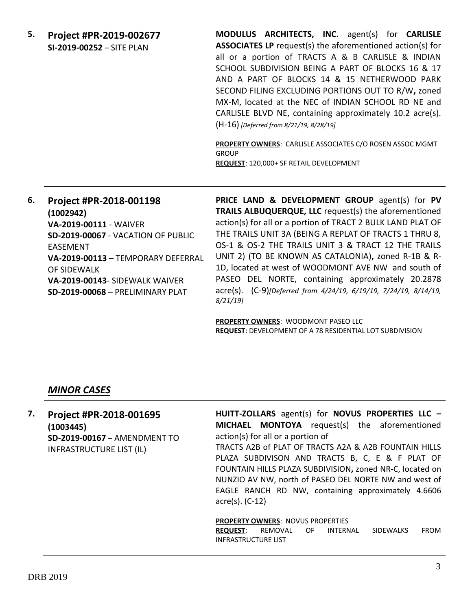**5. Project #PR-2019-002677 SI-2019-00252** – SITE PLAN

**MODULUS ARCHITECTS, INC.** agent(s) for **CARLISLE ASSOCIATES LP** request(s) the aforementioned action(s) for all or a portion of TRACTS A & B CARLISLE & INDIAN SCHOOL SUBDIVISION BEING A PART OF BLOCKS 16 & 17 AND A PART OF BLOCKS 14 & 15 NETHERWOOD PARK SECOND FILING EXCLUDING PORTIONS OUT TO R/W**,** zoned MX-M, located at the NEC of INDIAN SCHOOL RD NE and CARLISLE BLVD NE, containing approximately 10.2 acre(s). (H-16) *[Deferred from 8/21/19, 8/28/19]*

**PROPERTY OWNERS**: CARLISLE ASSOCIATES C/O ROSEN ASSOC MGMT GROUP **REQUEST**: 120,000+ SF RETAIL DEVELOPMENT

# **6. Project #PR-2018-001198 (1002942) VA-2019-00111** - WAIVER **SD-2019-00067** - VACATION OF PUBLIC EASEMENT **VA-2019-00113** – TEMPORARY DEFERRAL OF SIDEWALK **VA-2019-00143**- SIDEWALK WAIVER **SD-2019-00068** – PRELIMINARY PLAT

**PRICE LAND & DEVELOPMENT GROUP** agent(s) for **PV TRAILS ALBUQUERQUE, LLC** request(s) the aforementioned action(s) for all or a portion of TRACT 2 BULK LAND PLAT OF THE TRAILS UNIT 3A (BEING A REPLAT OF TRACTS 1 THRU 8, OS-1 & OS-2 THE TRAILS UNIT 3 & TRACT 12 THE TRAILS UNIT 2) (TO BE KNOWN AS CATALONIA)**,** zoned R-1B & R-1D, located at west of WOODMONT AVE NW and south of PASEO DEL NORTE, containing approximately 20.2878 acre(s). (C-9)*[Deferred from 4/24/19, 6/19/19, 7/24/19, 8/14/19, 8/21/19]*

**PROPERTY OWNERS**: WOODMONT PASEO LLC **REQUEST**: DEVELOPMENT OF A 78 RESIDENTIAL LOT SUBDIVISION

### *MINOR CASES*

# **7. Project #PR-2018-001695 (1003445) SD-2019-00167** – AMENDMENT TO INFRASTRUCTURE LIST (IL)

**HUITT-ZOLLARS** agent(s) for **NOVUS PROPERTIES LLC – MICHAEL MONTOYA** request(s) the aforementioned action(s) for all or a portion of

TRACTS A2B of PLAT OF TRACTS A2A & A2B FOUNTAIN HILLS PLAZA SUBDIVISON AND TRACTS B, C, E & F PLAT OF FOUNTAIN HILLS PLAZA SUBDIVISION**,** zoned NR-C, located on NUNZIO AV NW, north of PASEO DEL NORTE NW and west of EAGLE RANCH RD NW, containing approximately 4.6606 acre(s). (C-12)

#### **PROPERTY OWNERS**: NOVUS PROPERTIES

**REQUEST**: REMOVAL OF INTERNAL SIDEWALKS FROM INFRASTRUCTURE LIST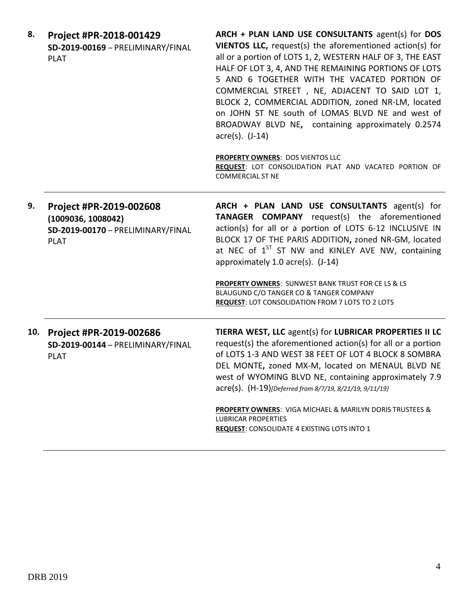| 8.  | Project #PR-2018-001429<br>SD-2019-00169 - PRELIMINARY/FINAL<br><b>PLAT</b>                       | ARCH + PLAN LAND USE CONSULTANTS agent(s) for DOS<br>VIENTOS LLC, request(s) the aforementioned action(s) for<br>all or a portion of LOTS 1, 2, WESTERN HALF OF 3, THE EAST<br>HALF OF LOT 3, 4, AND THE REMAINING PORTIONS OF LOTS<br>5 AND 6 TOGETHER WITH THE VACATED PORTION OF<br>COMMERCIAL STREET, NE, ADJACENT TO SAID LOT 1,<br>BLOCK 2, COMMERCIAL ADDITION, zoned NR-LM, located<br>on JOHN ST NE south of LOMAS BLVD NE and west of<br>BROADWAY BLVD NE, containing approximately 0.2574<br>$\arccos(5)$ . $(J-14)$<br>PROPERTY OWNERS: DOS VIENTOS LLC<br>REQUEST: LOT CONSOLIDATION PLAT AND VACATED PORTION OF<br><b>COMMERCIAL ST NE</b> |
|-----|---------------------------------------------------------------------------------------------------|----------------------------------------------------------------------------------------------------------------------------------------------------------------------------------------------------------------------------------------------------------------------------------------------------------------------------------------------------------------------------------------------------------------------------------------------------------------------------------------------------------------------------------------------------------------------------------------------------------------------------------------------------------|
| 9.  | Project #PR-2019-002608<br>(1009036, 1008042)<br>SD-2019-00170 - PRELIMINARY/FINAL<br><b>PLAT</b> | ARCH + PLAN LAND USE CONSULTANTS agent(s) for<br>TANAGER COMPANY request(s) the aforementioned<br>action(s) for all or a portion of LOTS 6-12 INCLUSIVE IN<br>BLOCK 17 OF THE PARIS ADDITION, zoned NR-GM, located<br>at NEC of 1 <sup>ST</sup> ST NW and KINLEY AVE NW, containing<br>approximately 1.0 acre(s). (J-14)<br><b>PROPERTY OWNERS: SUNWEST BANK TRUST FOR CE LS &amp; LS</b><br>BLAUGUND C/O TANGER CO & TANGER COMPANY<br><b>REQUEST: LOT CONSOLIDATION FROM 7 LOTS TO 2 LOTS</b>                                                                                                                                                          |
| 10. | Project #PR-2019-002686<br>SD-2019-00144 - PRELIMINARY/FINAL<br><b>PLAT</b>                       | TIERRA WEST, LLC agent(s) for LUBRICAR PROPERTIES II LC<br>request(s) the aforementioned action(s) for all or a portion<br>of LOTS 1-3 AND WEST 38 FEET OF LOT 4 BLOCK 8 SOMBRA<br>DEL MONTE, zoned MX-M, located on MENAUL BLVD NE<br>west of WYOMING BLVD NE, containing approximately 7.9<br>acre(s). (H-19)[Deferred from 8/7/19, 8/21/19, 9/11/19}<br><b>PROPERTY OWNERS: VIGA MICHAEL &amp; MARILYN DORIS TRUSTEES &amp;</b><br><b>LUBRICAR PROPERTIES</b><br><b>REQUEST:</b> CONSOLIDATE 4 EXISTING LOTS INTO 1                                                                                                                                   |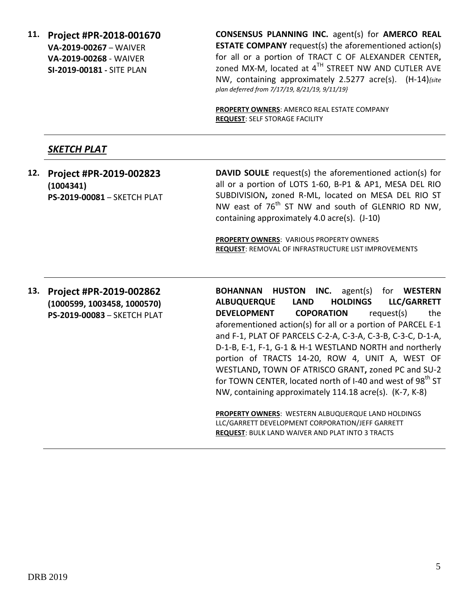**11. Project #PR-2018-001670 VA-2019-00267** – WAIVER **VA-2019-00268** - WAIVER **SI-2019-00181 -** SITE PLAN

**CONSENSUS PLANNING INC.** agent(s) for **AMERCO REAL ESTATE COMPANY** request(s) the aforementioned action(s) for all or a portion of TRACT C OF ALEXANDER CENTER**,**  zoned MX-M, located at  $4^{TH}$  STREET NW AND CUTLER AVE NW, containing approximately 2.5277 acre(s). (H-14)*{site plan deferred from 7/17/19, 8/21/19, 9/11/19}*

**PROPERTY OWNERS**: AMERCO REAL ESTATE COMPANY **REQUEST**: SELF STORAGE FACILITY

# *SKETCH PLAT*

**12. Project #PR-2019-002823 (1004341) PS-2019-00081** – SKETCH PLAT **DAVID SOULE** request(s) the aforementioned action(s) for all or a portion of LOTS 1-60, B-P1 & AP1, MESA DEL RIO SUBDIVISION**,** zoned R-ML, located on MESA DEL RIO ST NW east of  $76<sup>th</sup>$  ST NW and south of GLENRIO RD NW, containing approximately 4.0 acre(s). (J-10)

**PROPERTY OWNERS**: VARIOUS PROPERTY OWNERS **REQUEST**: REMOVAL OF INFRASTRUCTURE LIST IMPROVEMENTS

**13. Project #PR-2019-002862 (1000599, 1003458, 1000570) PS-2019-00083** – SKETCH PLAT **BOHANNAN HUSTON INC.** agent(s) for **WESTERN ALBUQUERQUE LAND HOLDINGS LLC/GARRETT DEVELOPMENT COPORATION** request(s) the aforementioned action(s) for all or a portion of PARCEL E-1 and F-1, PLAT OF PARCELS C-2-A, C-3-A, C-3-B, C-3-C, D-1-A, D-1-B, E-1, F-1, G-1 & H-1 WESTLAND NORTH and northerly portion of TRACTS 14-20, ROW 4, UNIT A, WEST OF WESTLAND**,** TOWN OF ATRISCO GRANT**,** zoned PC and SU-2 for TOWN CENTER, located north of I-40 and west of 98<sup>th</sup> ST NW, containing approximately 114.18 acre(s). (K-7, K-8)

**PROPERTY OWNERS**: WESTERN ALBUQUERQUE LAND HOLDINGS LLC/GARRETT DEVELOPMENT CORPORATION/JEFF GARRETT **REQUEST**: BULK LAND WAIVER AND PLAT INTO 3 TRACTS